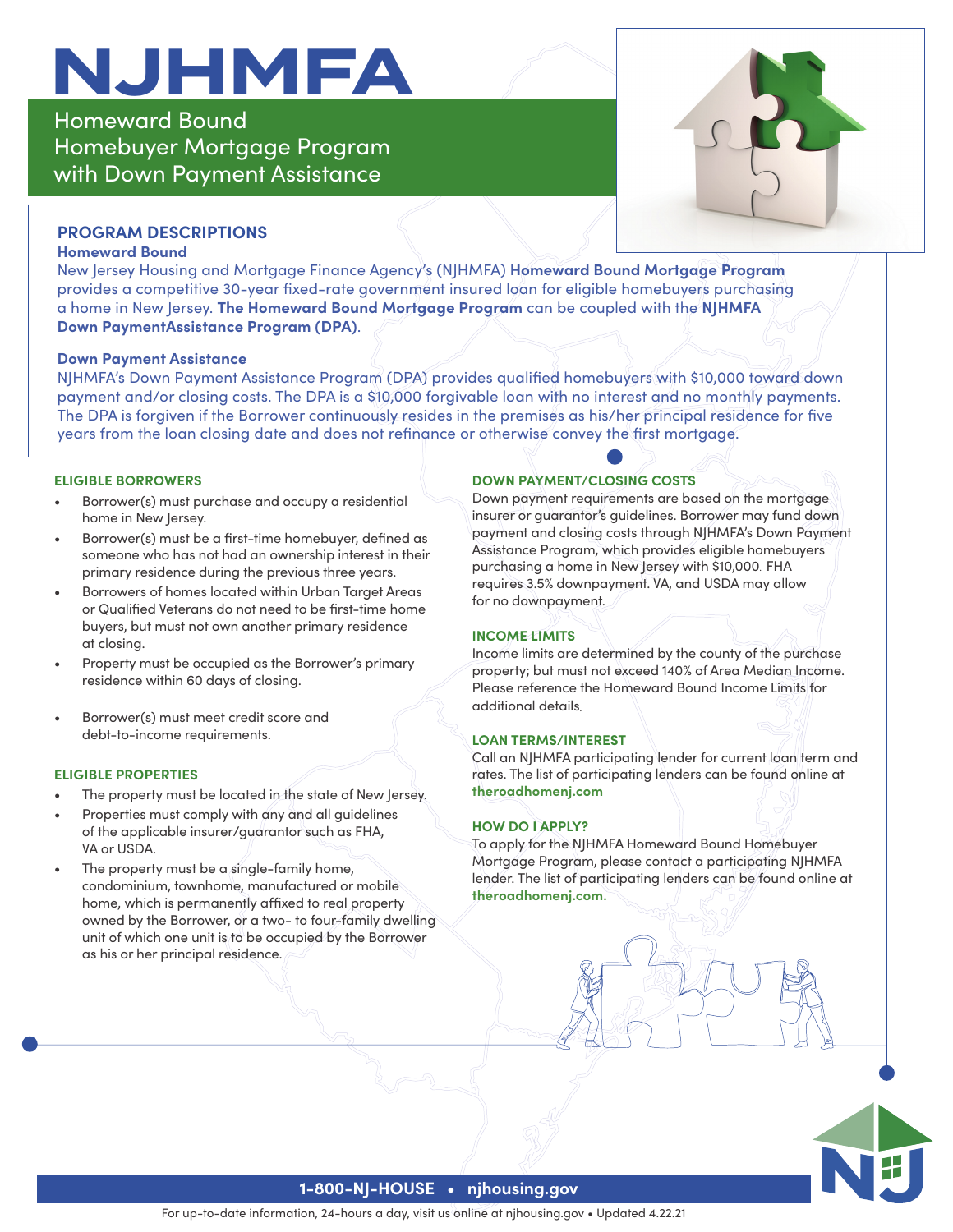# **NJHMFA**

Homeward Bound Homebuyer Mortgage Program with Down Payment Assistance



# **PROGRAM DESCRIPTIONS**

#### **Homeward Bound**

New Jersey Housing and Mortgage Finance Agency's (NJHMFA) **Homeward Bound Mortgage Program** provides a competitive 30-year fixed-rate government insured loan for eligible homebuyers purchasing a home in New Jersey. **The Homeward Bound Mortgage Program** can be coupled with the **NJHMFA Down PaymentAssistance Program (DPA)**.

#### **Down Payment Assistance**

NJHMFA's Down Payment Assistance Program (DPA) provides qualified homebuyers with \$10,000 toward down payment and/or closing costs. The DPA is a \$10,000 forgivable loan with no interest and no monthly payments. The DPA is forgiven if the Borrower continuously resides in the premises as his/her principal residence for five years from the loan closing date and does not refinance or otherwise convey the first mortgage.

#### **ELIGIBLE BORROWERS**

- Borrower(s) must purchase and occupy a residential home in New Jersey.
- Borrower(s) must be a first-time homebuyer, defined as someone who has not had an ownership interest in their primary residence during the previous three years.
- Borrowers of homes located within Urban Target Areas or Qualified Veterans do not need to be first-time home buyers, but must not own another primary residence at closing.
- Property must be occupied as the Borrower's primary residence within 60 days of closing.
- Borrower(s) must meet credit score and debt-to-income requirements.

### **ELIGIBLE PROPERTIES**

- The property must be located in the state of New Jersey.
- Properties must comply with any and all guidelines of the applicable insurer/guarantor such as FHA, VA or USDA.
- The property must be a single-family home, condominium, townhome, manufactured or mobile home, which is permanently affixed to real property owned by the Borrower, or a two- to four-family dwelling unit of which one unit is to be occupied by the Borrower as his or her principal residence.

## **DOWN PAYMENT/CLOSING COSTS**

Down payment requirements are based on the mortgage insurer or guarantor's guidelines. Borrower may fund down payment and closing costs through NJHMFA's Down Payment Assistance Program, which provides eligible homebuyers purchasing a home in New Jersey with \$10,000. FHA requires 3.5% downpayment. VA, and USDA may allow for no downpayment.

# **INCOME LIMITS**

Income limits are determined by the county of the purchase property; but must not exceed 140% of Area Median Income. Please reference the Homeward Bound Income Limits for additional details.

# **LOAN TERMS/INTEREST**

Call an NJHMFA participating lender for current loan term and rates. The list of participating lenders can be found online at **theroadhomenj.com**

### **HOW DO I APPLY?**

To apply for the NJHMFA Homeward Bound Homebuyer Mortgage Program, please contact a participating NJHMFA lender. The list of participating lenders can be found online at **theroadhomenj.com.**